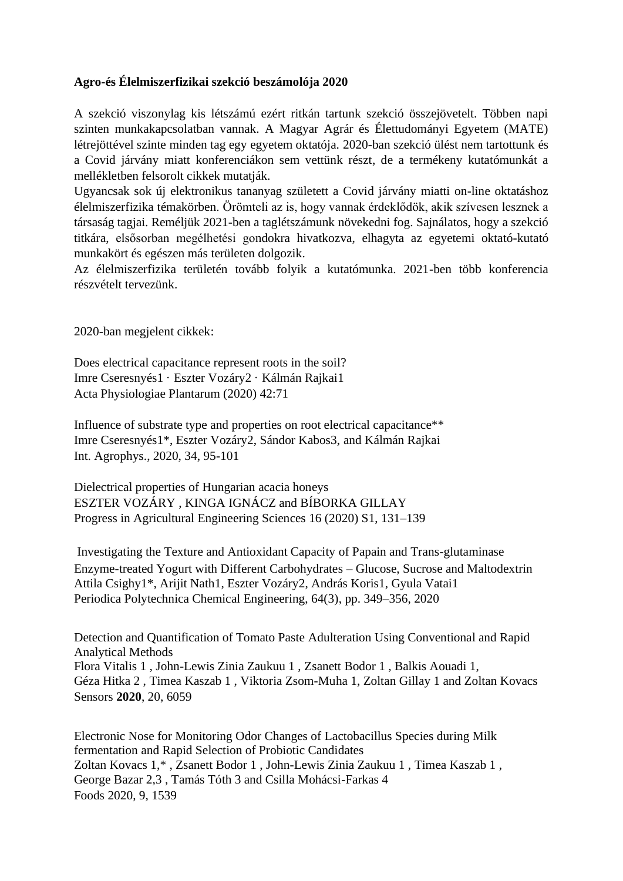## **Agro-és Élelmiszerfizikai szekció beszámolója 2020**

A szekció viszonylag kis létszámú ezért ritkán tartunk szekció összejövetelt. Többen napi szinten munkakapcsolatban vannak. A Magyar Agrár és Élettudományi Egyetem (MATE) létrejöttével szinte minden tag egy egyetem oktatója. 2020-ban szekció ülést nem tartottunk és a Covid járvány miatt konferenciákon sem vettünk részt, de a termékeny kutatómunkát a mellékletben felsorolt cikkek mutatják.

Ugyancsak sok új elektronikus tananyag született a Covid járvány miatti on-line oktatáshoz élelmiszerfizika témakörben. Örömteli az is, hogy vannak érdeklődök, akik szívesen lesznek a társaság tagjai. Reméljük 2021-ben a taglétszámunk növekedni fog. Sajnálatos, hogy a szekció titkára, elsősorban megélhetési gondokra hivatkozva, elhagyta az egyetemi oktató-kutató munkakört és egészen más területen dolgozik.

Az élelmiszerfizika területén tovább folyik a kutatómunka. 2021-ben több konferencia részvételt tervezünk.

2020-ban megjelent cikkek:

Does electrical capacitance represent roots in the soil? Imre Cseresnyés1 · Eszter Vozáry2 · Kálmán Rajkai1 Acta Physiologiae Plantarum (2020) 42:71

Influence of substrate type and properties on root electrical capacitance\*\* Imre Cseresnyés1\*, Eszter Vozáry2, Sándor Kabos3, and Kálmán Rajkai Int. Agrophys., 2020, 34, 95-101

Dielectrical properties of Hungarian acacia honeys ESZTER VOZÁRY , KINGA IGNÁCZ and BÍBORKA GILLAY Progress in Agricultural Engineering Sciences 16 (2020) S1, 131–139

Investigating the Texture and Antioxidant Capacity of Papain and Trans-glutaminase Enzyme-treated Yogurt with Different Carbohydrates – Glucose, Sucrose and Maltodextrin Attila Csighy1\*, Arijit Nath1, Eszter Vozáry2, András Koris1, Gyula Vatai1 Periodica Polytechnica Chemical Engineering, 64(3), pp. 349–356, 2020

Detection and Quantification of Tomato Paste Adulteration Using Conventional and Rapid Analytical Methods Flora Vitalis 1 , John-Lewis Zinia Zaukuu 1 , Zsanett Bodor 1 , Balkis Aouadi 1, Géza Hitka 2 , Timea Kaszab 1 , Viktoria Zsom-Muha 1, Zoltan Gillay 1 and Zoltan Kovacs Sensors **2020**, 20, 6059

Electronic Nose for Monitoring Odor Changes of Lactobacillus Species during Milk fermentation and Rapid Selection of Probiotic Candidates Zoltan Kovacs 1,\* , Zsanett Bodor 1 , John-Lewis Zinia Zaukuu 1 , Timea Kaszab 1 , George Bazar 2,3 , Tamás Tóth 3 and Csilla Mohácsi-Farkas 4 Foods 2020, 9, 1539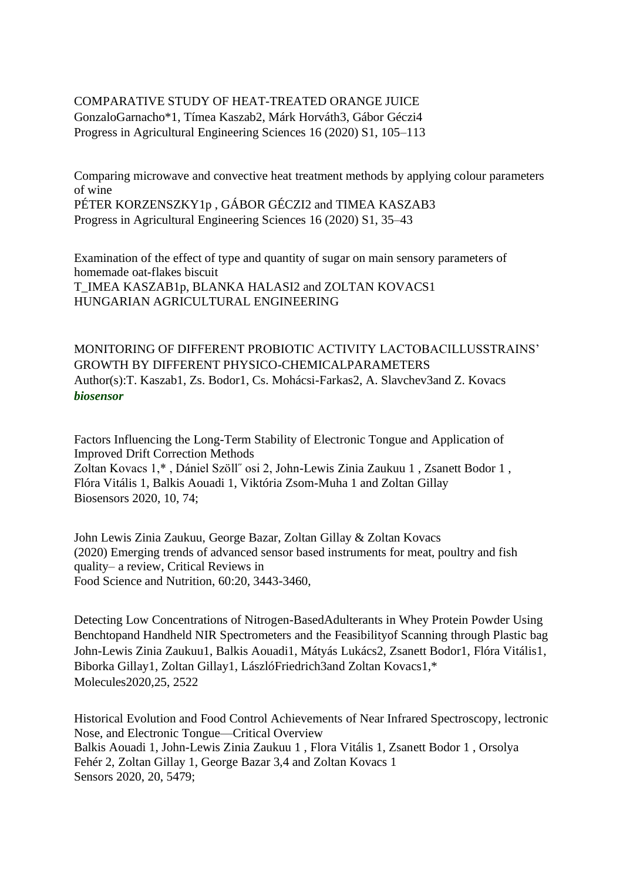## COMPARATIVE STUDY OF HEAT-TREATED ORANGE JUICE GonzaloGarnacho\*1, Tímea Kaszab2, Márk Horváth3, Gábor Géczi4 Progress in Agricultural Engineering Sciences 16 (2020) S1, 105–113

Comparing microwave and convective heat treatment methods by applying colour parameters of wine PÉTER KORZENSZKY1p , GÁBOR GÉCZI2 and TIMEA KASZAB3 Progress in Agricultural Engineering Sciences 16 (2020) S1, 35–43

Examination of the effect of type and quantity of sugar on main sensory parameters of homemade oat-flakes biscuit T\_IMEA KASZAB1p, BLANKA HALASI2 and ZOLTAN KOVACS1 HUNGARIAN AGRICULTURAL ENGINEERING

MONITORING OF DIFFERENT PROBIOTIC ACTIVITY LACTOBACILLUSSTRAINS' GROWTH BY DIFFERENT PHYSICO-CHEMICALPARAMETERS Author(s):T. Kaszab1, Zs. Bodor1, Cs. Mohácsi-Farkas2, A. Slavchev3and Z. Kovacs *biosensor*

Factors Influencing the Long-Term Stability of Electronic Tongue and Application of Improved Drift Correction Methods Zoltan Kovacs 1,\* , Dániel Szöll˝ osi 2, John-Lewis Zinia Zaukuu 1 , Zsanett Bodor 1 , Flóra Vitális 1, Balkis Aouadi 1, Viktória Zsom-Muha 1 and Zoltan Gillay Biosensors 2020, 10, 74;

John Lewis Zinia Zaukuu, George Bazar, Zoltan Gillay & Zoltan Kovacs (2020) Emerging trends of advanced sensor based instruments for meat, poultry and fish quality– a review, Critical Reviews in Food Science and Nutrition, 60:20, 3443-3460,

Detecting Low Concentrations of Nitrogen-BasedAdulterants in Whey Protein Powder Using Benchtopand Handheld NIR Spectrometers and the Feasibilityof Scanning through Plastic bag John-Lewis Zinia Zaukuu1, Balkis Aouadi1, Mátyás Lukács2, Zsanett Bodor1, Flóra Vitális1, Biborka Gillay1, Zoltan Gillay1, LászlóFriedrich3and Zoltan Kovacs1,\* Molecules2020,25, 2522

Historical Evolution and Food Control Achievements of Near Infrared Spectroscopy, lectronic Nose, and Electronic Tongue—Critical Overview Balkis Aouadi 1, John-Lewis Zinia Zaukuu 1 , Flora Vitális 1, Zsanett Bodor 1 , Orsolya Fehér 2, Zoltan Gillay 1, George Bazar 3,4 and Zoltan Kovacs 1 Sensors 2020, 20, 5479;